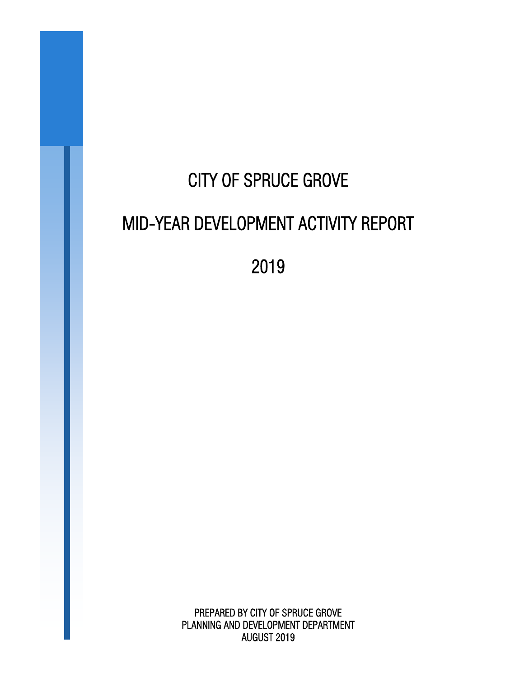# CITY OF SPRUCE GROVE MID-YEAR DEVELOPMENT ACTIVITY REPORT

2019

PREPARED BY CITY OF SPRUCE GROVE PLANNING AND DEVELOPMENT DEPARTMENT AUGUST 2019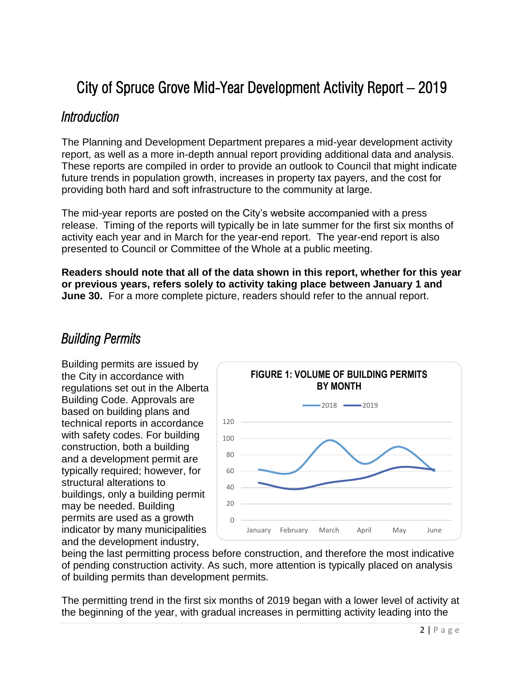# City of Spruce Grove Mid-Year Development Activity Report – 2019

#### *Introduction*

The Planning and Development Department prepares a mid-year development activity report, as well as a more in-depth annual report providing additional data and analysis. These reports are compiled in order to provide an outlook to Council that might indicate future trends in population growth, increases in property tax payers, and the cost for providing both hard and soft infrastructure to the community at large.

The mid-year reports are posted on the City's website accompanied with a press release. Timing of the reports will typically be in late summer for the first six months of activity each year and in March for the year-end report. The year-end report is also presented to Council or Committee of the Whole at a public meeting.

**Readers should note that all of the data shown in this report, whether for this year or previous years, refers solely to activity taking place between January 1 and June 30.** For a more complete picture, readers should refer to the annual report.

#### *Building Permits*

Building permits are issued by the City in accordance with regulations set out in the Alberta Building Code. Approvals are based on building plans and technical reports in accordance with safety codes. For building construction, both a building and a development permit are typically required; however, for structural alterations to buildings, only a building permit may be needed. Building permits are used as a growth indicator by many municipalities and the development industry,



being the last permitting process before construction, and therefore the most indicative of pending construction activity. As such, more attention is typically placed on analysis of building permits than development permits.

The permitting trend in the first six months of 2019 began with a lower level of activity at the beginning of the year, with gradual increases in permitting activity leading into the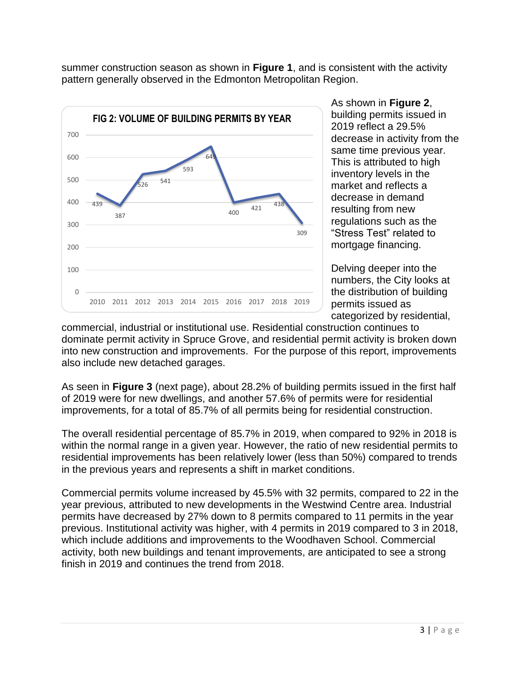summer construction season as shown in **Figure 1**, and is consistent with the activity pattern generally observed in the Edmonton Metropolitan Region.



As shown in **Figure 2**, building permits issued in 2019 reflect a 29.5% decrease in activity from the same time previous year. This is attributed to high inventory levels in the market and reflects a decrease in demand resulting from new regulations such as the "Stress Test" related to mortgage financing.

Delving deeper into the numbers, the City looks at the distribution of building permits issued as categorized by residential,

commercial, industrial or institutional use. Residential construction continues to dominate permit activity in Spruce Grove, and residential permit activity is broken down into new construction and improvements. For the purpose of this report, improvements also include new detached garages.

As seen in **Figure 3** (next page), about 28.2% of building permits issued in the first half of 2019 were for new dwellings, and another 57.6% of permits were for residential improvements, for a total of 85.7% of all permits being for residential construction.

The overall residential percentage of 85.7% in 2019, when compared to 92% in 2018 is within the normal range in a given year. However, the ratio of new residential permits to residential improvements has been relatively lower (less than 50%) compared to trends in the previous years and represents a shift in market conditions.

Commercial permits volume increased by 45.5% with 32 permits, compared to 22 in the year previous, attributed to new developments in the Westwind Centre area. Industrial permits have decreased by 27% down to 8 permits compared to 11 permits in the year previous. Institutional activity was higher, with 4 permits in 2019 compared to 3 in 2018, which include additions and improvements to the Woodhaven School. Commercial activity, both new buildings and tenant improvements, are anticipated to see a strong finish in 2019 and continues the trend from 2018.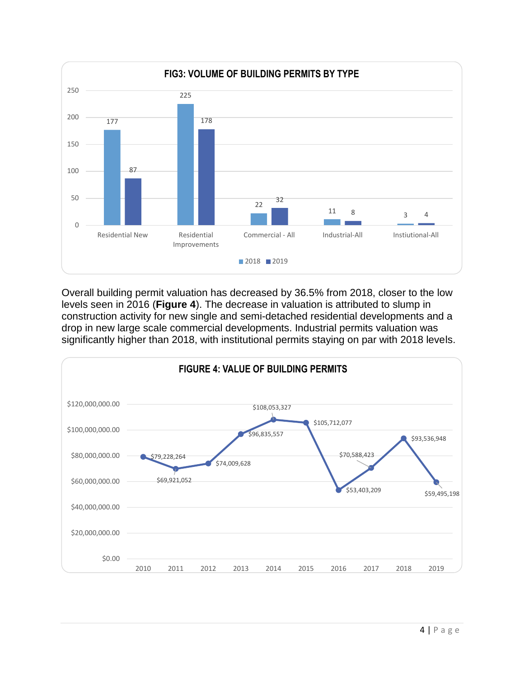

Overall building permit valuation has decreased by 36.5% from 2018, closer to the low levels seen in 2016 (**Figure 4**). The decrease in valuation is attributed to slump in construction activity for new single and semi-detached residential developments and a drop in new large scale commercial developments. Industrial permits valuation was significantly higher than 2018, with institutional permits staying on par with 2018 levels.

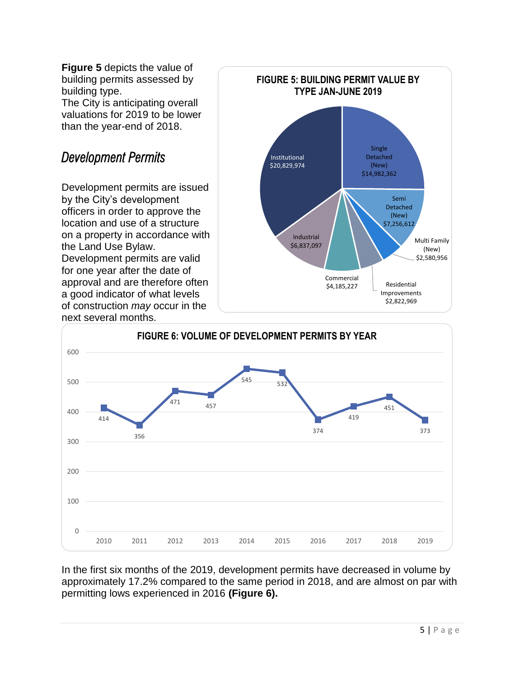**Figure 5** depicts the value of building permits assessed by building type.

The City is anticipating overall valuations for 2019 to be lower than the year-end of 2018.

### *Development Permits*

Development permits are issued by the City's development officers in order to approve the location and use of a structure on a property in accordance with the Land Use Bylaw. Development permits are valid for one year after the date of approval and are therefore often a good indicator of what levels of construction *may* occur in the next several months.





In the first six months of the 2019, development permits have decreased in volume by approximately 17.2% compared to the same period in 2018, and are almost on par with permitting lows experienced in 2016 **(Figure 6).**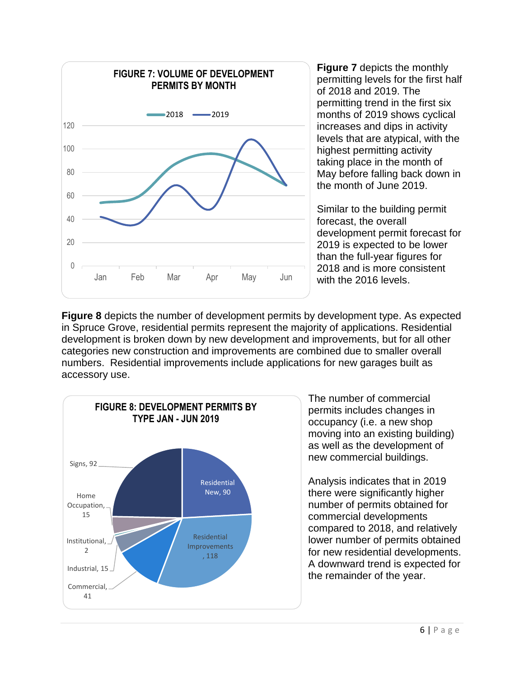

**Figure 7** depicts the monthly permitting levels for the first half of 2018 and 2019. The permitting trend in the first six months of 2019 shows cyclical increases and dips in activity levels that are atypical, with the highest permitting activity taking place in the month of May before falling back down in the month of June 2019.

Similar to the building permit forecast, the overall development permit forecast for 2019 is expected to be lower than the full-year figures for 2018 and is more consistent with the 2016 levels.

**Figure 8** depicts the number of development permits by development type. As expected in Spruce Grove, residential permits represent the majority of applications. Residential development is broken down by new development and improvements, but for all other categories new construction and improvements are combined due to smaller overall numbers. Residential improvements include applications for new garages built as accessory use.



The number of commercial permits includes changes in occupancy (i.e. a new shop moving into an existing building) as well as the development of new commercial buildings.

Analysis indicates that in 2019 there were significantly higher number of permits obtained for commercial developments compared to 2018, and relatively lower number of permits obtained for new residential developments. A downward trend is expected for the remainder of the year.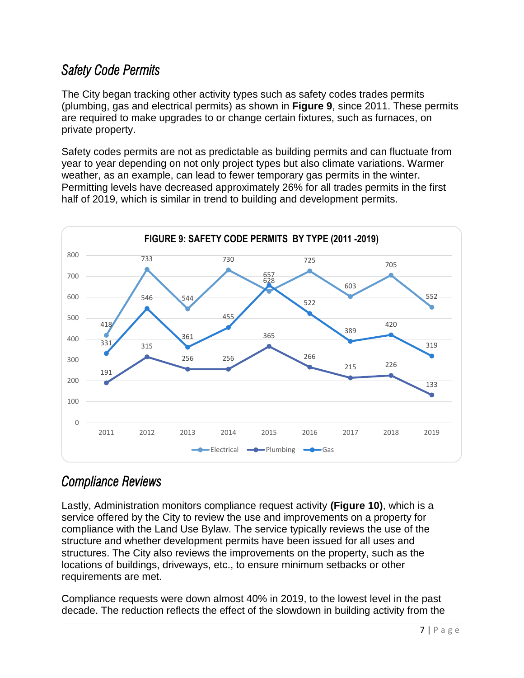#### *Safety Code Permits*

The City began tracking other activity types such as safety codes trades permits (plumbing, gas and electrical permits) as shown in **Figure 9**, since 2011. These permits are required to make upgrades to or change certain fixtures, such as furnaces, on private property.

Safety codes permits are not as predictable as building permits and can fluctuate from year to year depending on not only project types but also climate variations. Warmer weather, as an example, can lead to fewer temporary gas permits in the winter. Permitting levels have decreased approximately 26% for all trades permits in the first half of 2019, which is similar in trend to building and development permits.



## *Compliance Reviews*

Lastly, Administration monitors compliance request activity **(Figure 10)**, which is a service offered by the City to review the use and improvements on a property for compliance with the Land Use Bylaw. The service typically reviews the use of the structure and whether development permits have been issued for all uses and structures. The City also reviews the improvements on the property, such as the locations of buildings, driveways, etc., to ensure minimum setbacks or other requirements are met.

Compliance requests were down almost 40% in 2019, to the lowest level in the past decade. The reduction reflects the effect of the slowdown in building activity from the